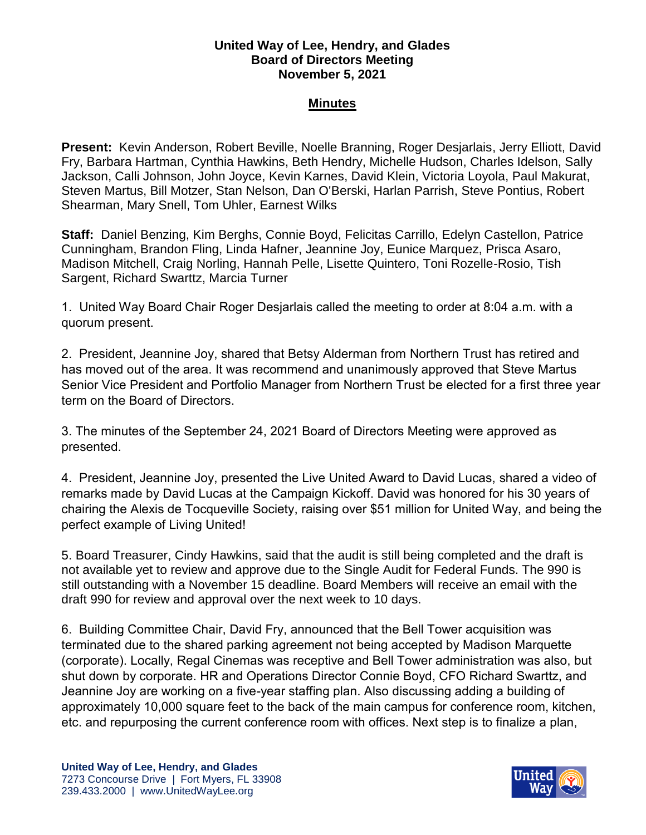## **United Way of Lee, Hendry, and Glades Board of Directors Meeting November 5, 2021**

## **Minutes**

**Present:** Kevin Anderson, Robert Beville, Noelle Branning, Roger Desjarlais, Jerry Elliott, David Fry, Barbara Hartman, Cynthia Hawkins, Beth Hendry, Michelle Hudson, Charles Idelson, Sally Jackson, Calli Johnson, John Joyce, Kevin Karnes, David Klein, Victoria Loyola, Paul Makurat, Steven Martus, Bill Motzer, Stan Nelson, Dan O'Berski, Harlan Parrish, Steve Pontius, Robert Shearman, Mary Snell, Tom Uhler, Earnest Wilks

**Staff:** Daniel Benzing, Kim Berghs, Connie Boyd, Felicitas Carrillo, Edelyn Castellon, Patrice Cunningham, Brandon Fling, Linda Hafner, Jeannine Joy, Eunice Marquez, Prisca Asaro, Madison Mitchell, Craig Norling, Hannah Pelle, Lisette Quintero, Toni Rozelle-Rosio, Tish Sargent, Richard Swarttz, Marcia Turner

1.United Way Board Chair Roger Desjarlais called the meeting to order at 8:04 a.m. with a quorum present.

2. President, Jeannine Joy, shared that Betsy Alderman from Northern Trust has retired and has moved out of the area. It was recommend and unanimously approved that Steve Martus Senior Vice President and Portfolio Manager from Northern Trust be elected for a first three year term on the Board of Directors.

3. The minutes of the September 24, 2021 Board of Directors Meeting were approved as presented.

4. President, Jeannine Joy, presented the Live United Award to David Lucas, shared a video of remarks made by David Lucas at the Campaign Kickoff. David was honored for his 30 years of chairing the Alexis de Tocqueville Society, raising over \$51 million for United Way, and being the perfect example of Living United!

5. Board Treasurer, Cindy Hawkins, said that the audit is still being completed and the draft is not available yet to review and approve due to the Single Audit for Federal Funds. The 990 is still outstanding with a November 15 deadline. Board Members will receive an email with the draft 990 for review and approval over the next week to 10 days.

6. Building Committee Chair, David Fry, announced that the Bell Tower acquisition was terminated due to the shared parking agreement not being accepted by Madison Marquette (corporate). Locally, Regal Cinemas was receptive and Bell Tower administration was also, but shut down by corporate. HR and Operations Director Connie Boyd, CFO Richard Swarttz, and Jeannine Joy are working on a five-year staffing plan. Also discussing adding a building of approximately 10,000 square feet to the back of the main campus for conference room, kitchen, etc. and repurposing the current conference room with offices. Next step is to finalize a plan,

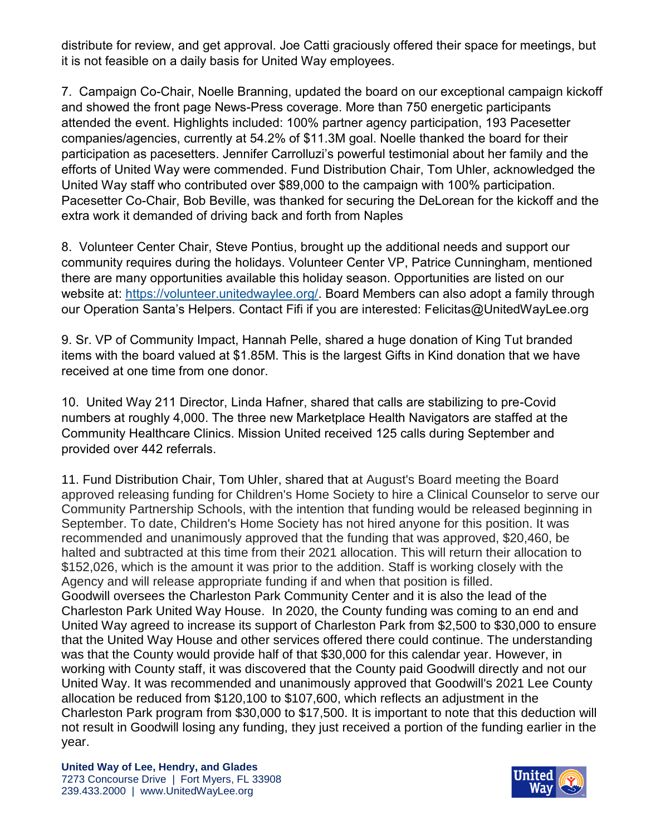distribute for review, and get approval. Joe Catti graciously offered their space for meetings, but it is not feasible on a daily basis for United Way employees.

7. Campaign Co-Chair, Noelle Branning, updated the board on our exceptional campaign kickoff and showed the front page News-Press coverage. More than 750 energetic participants attended the event. Highlights included: 100% partner agency participation, 193 Pacesetter companies/agencies, currently at 54.2% of \$11.3M goal. Noelle thanked the board for their participation as pacesetters. Jennifer Carrolluzi's powerful testimonial about her family and the efforts of United Way were commended. Fund Distribution Chair, Tom Uhler, acknowledged the United Way staff who contributed over \$89,000 to the campaign with 100% participation. Pacesetter Co-Chair, Bob Beville, was thanked for securing the DeLorean for the kickoff and the extra work it demanded of driving back and forth from Naples

8. Volunteer Center Chair, Steve Pontius, brought up the additional needs and support our community requires during the holidays. Volunteer Center VP, Patrice Cunningham, mentioned there are many opportunities available this holiday season. Opportunities are listed on our website at: [https://volunteer.unitedwaylee.org/.](https://volunteer.unitedwaylee.org/) Board Members can also adopt a family through our Operation Santa's Helpers. Contact Fifi if you are interested: Felicitas@UnitedWayLee.org

9. Sr. VP of Community Impact, Hannah Pelle, shared a huge donation of King Tut branded items with the board valued at \$1.85M. This is the largest Gifts in Kind donation that we have received at one time from one donor.

10. United Way 211 Director, Linda Hafner, shared that calls are stabilizing to pre-Covid numbers at roughly 4,000. The three new Marketplace Health Navigators are staffed at the Community Healthcare Clinics. Mission United received 125 calls during September and provided over 442 referrals.

11. Fund Distribution Chair, Tom Uhler, shared that at August's Board meeting the Board approved releasing funding for Children's Home Society to hire a Clinical Counselor to serve our Community Partnership Schools, with the intention that funding would be released beginning in September. To date, Children's Home Society has not hired anyone for this position. It was recommended and unanimously approved that the funding that was approved, \$20,460, be halted and subtracted at this time from their 2021 allocation. This will return their allocation to \$152,026, which is the amount it was prior to the addition. Staff is working closely with the Agency and will release appropriate funding if and when that position is filled. Goodwill oversees the Charleston Park Community Center and it is also the lead of the Charleston Park United Way House. In 2020, the County funding was coming to an end and United Way agreed to increase its support of Charleston Park from \$2,500 to \$30,000 to ensure that the United Way House and other services offered there could continue. The understanding was that the County would provide half of that \$30,000 for this calendar year. However, in working with County staff, it was discovered that the County paid Goodwill directly and not our United Way. It was recommended and unanimously approved that Goodwill's 2021 Lee County allocation be reduced from \$120,100 to \$107,600, which reflects an adjustment in the Charleston Park program from \$30,000 to \$17,500. It is important to note that this deduction will not result in Goodwill losing any funding, they just received a portion of the funding earlier in the year.